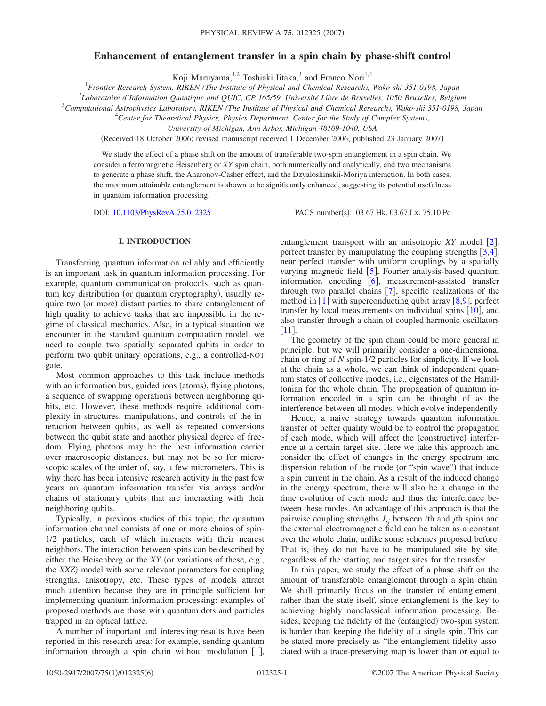# **Enhancement of entanglement transfer in a spin chain by phase-shift control**

Koji Maruyama,<sup>1,2</sup> Toshiaki Iitaka,<sup>3</sup> and Franco Nori<sup>1,4</sup>

1 *Frontier Research System, RIKEN (The Institute of Physical and Chemical Research), Wako-shi 351-0198, Japan*

2 *Laboratoire d'Information Quantique and QUIC, CP 165/59, Université Libre de Bruxelles, 1050 Bruxelles, Belgium*

3 *Computational Astrophysics Laboratory, RIKEN (The Institute of Physical and Chemical Research), Wako-shi 351-0198, Japan*

4 *Center for Theoretical Physics, Physics Department, Center for the Study of Complex Systems,*

*University of Michigan, Ann Arbor, Michigan 48109-1040, USA*

(Received 18 October 2006; revised manuscript received 1 December 2006; published 23 January 2007)

We study the effect of a phase shift on the amount of transferable two-spin entanglement in a spin chain. We consider a ferromagnetic Heisenberg or *XY* spin chain, both numerically and analytically, and two mechanisms to generate a phase shift, the Aharonov-Casher effect, and the Dzyaloshinskii-Moriya interaction. In both cases, the maximum attainable entanglement is shown to be significantly enhanced, suggesting its potential usefulness in quantum information processing.

DOI: [10.1103/PhysRevA.75.012325](http://dx.doi.org/10.1103/PhysRevA.75.012325)

PACS number(s): 03.67.Hk, 03.67.Lx, 75.10.Pq

## **I. INTRODUCTION**

Transferring quantum information reliably and efficiently is an important task in quantum information processing. For example, quantum communication protocols, such as quantum key distribution (or quantum cryptography), usually require two (or more) distant parties to share entanglement of high quality to achieve tasks that are impossible in the regime of classical mechanics. Also, in a typical situation we encounter in the standard quantum computation model, we need to couple two spatially separated qubits in order to perform two qubit unitary operations, e.g., a controlled-NOT gate.

Most common approaches to this task include methods with an information bus, guided ions (atoms), flying photons, a sequence of swapping operations between neighboring qubits, etc. However, these methods require additional complexity in structures, manipulations, and controls of the interaction between qubits, as well as repeated conversions between the qubit state and another physical degree of freedom. Flying photons may be the best information carrier over macroscopic distances, but may not be so for microscopic scales of the order of, say, a few micrometers. This is why there has been intensive research activity in the past few years on quantum information transfer via arrays and/or chains of stationary qubits that are interacting with their neighboring qubits.

Typically, in previous studies of this topic, the quantum information channel consists of one or more chains of spin-1/2 particles, each of which interacts with their nearest neighbors. The interaction between spins can be described by either the Heisenberg or the *XY* (or variations of these, e.g., the *XXZ*) model with some relevant parameters for coupling strengths, anisotropy, etc. These types of models attract much attention because they are in principle sufficient for implementing quantum information processing: examples of proposed methods are those with quantum dots and particles trapped in an optical lattice.

A number of important and interesting results have been reported in this research area: for example, sending quantum information through a spin chain without modulation  $[1]$  $[1]$  $[1]$ ,

entanglement transport with an anisotropic  $XY$  model  $\lceil 2 \rceil$  $\lceil 2 \rceil$  $\lceil 2 \rceil$ , perfect transfer by manipulating the coupling strengths  $[3,4]$  $[3,4]$  $[3,4]$  $[3,4]$ , near perfect transfer with uniform couplings by a spatially varying magnetic field  $[5]$  $[5]$  $[5]$ , Fourier analysis-based quantum information encoding  $[6]$  $[6]$  $[6]$ , measurement-assisted transfer through two parallel chains  $[7]$  $[7]$  $[7]$ , specific realizations of the method in  $\lceil 1 \rceil$  $\lceil 1 \rceil$  $\lceil 1 \rceil$  with superconducting qubit array  $\lceil 8, 9 \rceil$  $\lceil 8, 9 \rceil$  $\lceil 8, 9 \rceil$  $\lceil 8, 9 \rceil$  $\lceil 8, 9 \rceil$ , perfect transfer by local measurements on individual spins  $[10]$  $[10]$  $[10]$ , and also transfer through a chain of coupled harmonic oscillators  $\lceil 11 \rfloor$  $\lceil 11 \rfloor$  $\lceil 11 \rfloor$ .

The geometry of the spin chain could be more general in principle, but we will primarily consider a one-dimensional chain or ring of *N* spin-1/2 particles for simplicity. If we look at the chain as a whole, we can think of independent quantum states of collective modes, i.e., eigenstates of the Hamiltonian for the whole chain. The propagation of quantum information encoded in a spin can be thought of as the interference between all modes, which evolve independently.

Hence, a naive strategy towards quantum information transfer of better quality would be to control the propagation of each mode, which will affect the (constructive) interference at a certain target site. Here we take this approach and consider the effect of changes in the energy spectrum and dispersion relation of the mode (or "spin wave") that induce a spin current in the chain. As a result of the induced change in the energy spectrum, there will also be a change in the time evolution of each mode and thus the interference between these modes. An advantage of this approach is that the pairwise coupling strengths *Jij* between *i*th and *j*th spins and the external electromagnetic field can be taken as a constant over the whole chain, unlike some schemes proposed before. That is, they do not have to be manipulated site by site, regardless of the starting and target sites for the transfer.

In this paper, we study the effect of a phase shift on the amount of transferable entanglement through a spin chain. We shall primarily focus on the transfer of entanglement, rather than the state itself, since entanglement is the key to achieving highly nonclassical information processing. Besides, keeping the fidelity of the (entangled) two-spin system is harder than keeping the fidelity of a single spin. This can be stated more precisely as "the entanglement fidelity associated with a trace-preserving map is lower than or equal to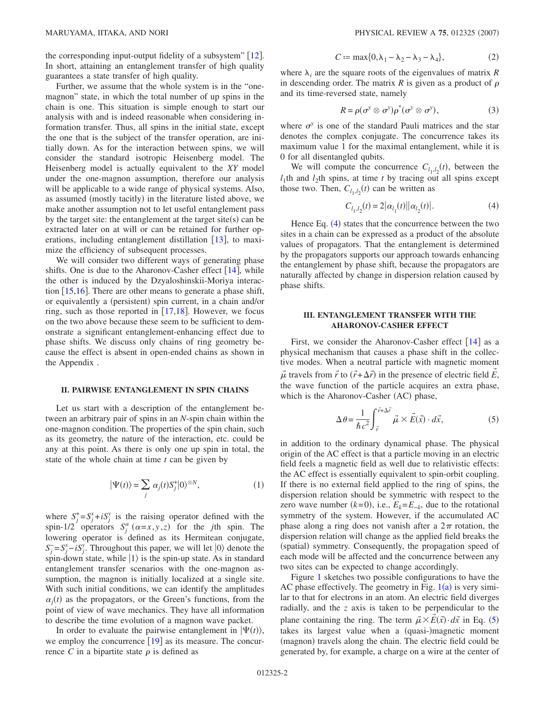the corresponding input-output fidelity of a subsystem"  $|12|$  $|12|$  $|12|$ . In short, attaining an entanglement transfer of high quality guarantees a state transfer of high quality.

Further, we assume that the whole system is in the "onemagnon" state, in which the total number of up spins in the chain is one. This situation is simple enough to start our analysis with and is indeed reasonable when considering information transfer. Thus, all spins in the initial state, except the one that is the subject of the transfer operation, are initially down. As for the interaction between spins, we will consider the standard isotropic Heisenberg model. The Heisenberg model is actually equivalent to the *XY* model under the one-magnon assumption, therefore our analysis will be applicable to a wide range of physical systems. Also, as assumed (mostly tacitly) in the literature listed above, we make another assumption not to let useful entanglement pass by the target site: the entanglement at the target site $(s)$  can be extracted later on at will or can be retained for further operations, including entanglement distillation  $[13]$  $[13]$  $[13]$ , to maximize the efficiency of subsequent processes.

We will consider two different ways of generating phase shifts. One is due to the Aharonov-Casher effect  $[14]$  $[14]$  $[14]$ , while the other is induced by the Dzyaloshinskii-Moriya interaction  $\left| 15,16 \right|$  $\left| 15,16 \right|$  $\left| 15,16 \right|$  $\left| 15,16 \right|$ . There are other means to generate a phase shift, or equivalently a (persistent) spin current, in a chain and/or ring, such as those reported in  $[17,18]$  $[17,18]$  $[17,18]$  $[17,18]$ . However, we focus on the two above because these seem to be sufficient to demonstrate a significant entanglement-enhancing effect due to phase shifts. We discuss only chains of ring geometry because the effect is absent in open-ended chains as shown in the Appendix .

### **II. PAIRWISE ENTANGLEMENT IN SPIN CHAINS**

Let us start with a description of the entanglement between an arbitrary pair of spins in an *N*-spin chain within the one-magnon condition. The properties of the spin chain, such as its geometry, the nature of the interaction, etc. could be any at this point. As there is only one up spin in total, the state of the whole chain at time *t* can be given by

$$
|\Psi(t)\rangle = \sum_{j} \alpha_{j}(t) S_{j}^{+} |0\rangle^{\otimes N}, \qquad (1)
$$

<span id="page-1-2"></span>where  $S_j^+ = S_j^x + iS_j^y$  is the raising operator defined with the spin-1/2 operators  $S_j^{\alpha}$  ( $\alpha=x, y, z$ ) for the *j*th spin. The lowering operator is defined as its Hermitean conjugate,  $S_j^- = S_j^x - iS_j^y$ . Throughout this paper, we will let  $|0\rangle$  denote the spin-down state, while  $|1\rangle$  is the spin-up state. As in standard entanglement transfer scenarios with the one-magnon assumption, the magnon is initially localized at a single site. With such initial conditions, we can identify the amplitudes  $\alpha_j(t)$  as the propagators, or the Green's functions, from the point of view of wave mechanics. They have all information to describe the time evolution of a magnon wave packet.

In order to evaluate the pairwise entanglement in  $|\Psi(t)\rangle$ , we employ the concurrence  $[19]$  $[19]$  $[19]$  as its measure. The concurrence *C* in a bipartite state  $\rho$  is defined as

$$
C := \max\{0, \lambda_1 - \lambda_2 - \lambda_3 - \lambda_4\},\tag{2}
$$

where  $\lambda_i$  are the square roots of the eigenvalues of matrix *R* in descending order. The matrix  $R$  is given as a product of  $\rho$ and its time-reversed state, namely

$$
R = \rho(\sigma^y \otimes \sigma^y)\rho^*(\sigma^y \otimes \sigma^y), \qquad (3)
$$

where  $\sigma^y$  is one of the standard Pauli matrices and the star denotes the complex conjugate. The concurrence takes its maximum value 1 for the maximal entanglement, while it is 0 for all disentangled qubits.

We will compute the concurrence  $C_{l_1,l_2}(t)$ , between the  $l_1$ th and  $l_2$ th spins, at time *t* by tracing out all spins except those two. Then,  $C_{l_1,l_2}(t)$  can be written as

$$
C_{l_1, l_2}(t) = 2|\alpha_{l_1}(t)||\alpha_{l_2}(t)|. \tag{4}
$$

<span id="page-1-0"></span>Hence Eq.  $(4)$  $(4)$  $(4)$  states that the concurrence between the two sites in a chain can be expressed as a product of the absolute values of propagators. That the entanglement is determined by the propagators supports our approach towards enhancing the entanglement by phase shift, because the propagators are naturally affected by change in dispersion relation caused by phase shifts.

### **III. ENTANGLEMENT TRANSFER WITH THE AHARONOV-CASHER EFFECT**

First, we consider the Aharonov-Casher effect  $[14]$  $[14]$  $[14]$  as a physical mechanism that causes a phase shift in the collective modes. When a neutral particle with magnetic moment  $\vec{\mu}$  travels from  $\vec{r}$  to  $(\vec{r} + \Delta \vec{r})$  in the presence of electric field *E*, the wave function of the particle acquires an extra phase, which is the Aharonov-Casher (AC) phase,

$$
\Delta \theta = \frac{1}{\hbar c^2} \int_{\vec{r}}^{\vec{r} + \Delta \vec{r}} \vec{\mu} \times \vec{E}(\vec{x}) \cdot d\vec{x},
$$
 (5)

<span id="page-1-1"></span>in addition to the ordinary dynamical phase. The physical origin of the AC effect is that a particle moving in an electric field feels a magnetic field as well due to relativistic effects: the AC effect is essentially equivalent to spin-orbit coupling. If there is no external field applied to the ring of spins, the dispersion relation should be symmetric with respect to the zero wave number  $(k=0)$ , i.e.,  $E_k = E_{-k}$ , due to the rotational symmetry of the system. However, if the accumulated AC phase along a ring does not vanish after a  $2\pi$  rotation, the dispersion relation will change as the applied field breaks the (spatial) symmetry. Consequently, the propagation speed of each mode will be affected and the concurrence between any two sites can be expected to change accordingly.

Figure [1](#page-2-0) sketches two possible configurations to have the AC phase effectively. The geometry in Fig.  $1(a)$  $1(a)$  is very similar to that for electrons in an atom. An electric field diverges radially, and the *z* axis is taken to be perpendicular to the plane containing the ring. The term  $\vec{\mu} \times E(\vec{x}) \cdot d\vec{x}$  in Eq. ([5](#page-1-1)) → takes its largest value when a (quasi-)magnetic moment (magnon) travels along the chain. The electric field could be generated by, for example, a charge on a wire at the center of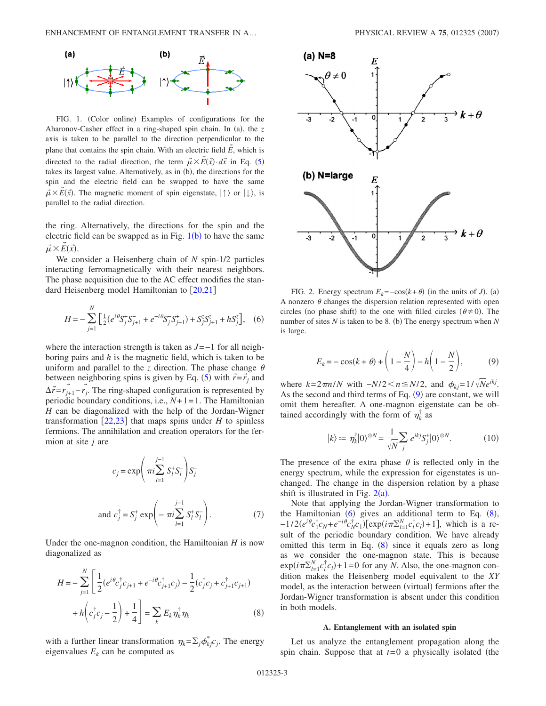<span id="page-2-0"></span>

FIG. 1. (Color online) Examples of configurations for the Aharonov-Casher effect in a ring-shaped spin chain. In (a), the z axis is taken to be parallel to the direction perpendicular to the plane that contains the spin chain. With an electric field *E* , which is directed to the radial direction, the term  $\vec{\mu} \times \vec{E}(\vec{x}) \cdot d\vec{x}$  in Eq. ([5](#page-1-1)) takes its largest value. Alternatively, as in (b), the directions for the spin and the electric field can be swapped to have the same  $\vec{\mu} \times \vec{\hat{E}}(\vec{x})$ . The magnetic moment of spin eigenstate,  $|\uparrow\rangle$  or  $|\downarrow\rangle$ , is parallel to the radial direction.

the ring. Alternatively, the directions for the spin and the electric field can be swapped as in Fig.  $1(b)$  $1(b)$  to have the same  $\vec{\mu} \times E(\vec{x}).$ →

We consider a Heisenberg chain of *N* spin-1/2 particles interacting ferromagnetically with their nearest neighbors. The phase acquisition due to the AC effect modifies the standard Heisenberg model Hamiltonian to  $[20,21]$  $[20,21]$  $[20,21]$  $[20,21]$ 

<span id="page-2-3"></span>
$$
H = -\sum_{j=1}^{N} \left[ \frac{1}{2} (e^{i\theta} S_j^+ S_{j+1}^- + e^{-i\theta} S_j^- S_{j+1}^+) + S_j^z S_{j+1}^z + h S_j^z \right], \quad (6)
$$

where the interaction strength is taken as *J*=−1 for all neighboring pairs and *h* is the magnetic field, which is taken to be uniform and parallel to the *z* direction. The phase change  $\theta$ between neighboring spins is given by Eq. ([5](#page-1-1)) with  $\vec{r} = \vec{r}_j$  and  $\Delta \vec{r} = r_{j+1} - r_j$ . The ring-shaped configuration is represented by periodic boundary conditions, i.e., *N*+ 1= 1. The Hamiltonian *H* can be diagonalized with the help of the Jordan-Wigner transformation  $[22,23]$  $[22,23]$  $[22,23]$  $[22,23]$  that maps spins under *H* to spinless fermions. The annihilation and creation operators for the fermion at site *j* are

$$
c_j = \exp\left(\pi i \sum_{l=1}^{j-1} S_l^+ S_l^- \right) S_j^-
$$
  
and  $c_j^{\dagger} = S_j^+ \exp\left(-\pi i \sum_{l=1}^{j-1} S_l^+ S_l^- \right)$ . (7)

Under the one-magnon condition, the Hamiltonian *H* is now diagonalized as

<span id="page-2-4"></span>
$$
H = -\sum_{j=1}^{N} \left[ \frac{1}{2} (e^{i\theta} c_j^{\dagger} c_{j+1} + e^{-i\theta} c_{j+1}^{\dagger} c_j) - \frac{1}{2} (c_j^{\dagger} c_j + c_{j+1}^{\dagger} c_{j+1}) + h \left( c_j^{\dagger} c_j - \frac{1}{2} \right) + \frac{1}{4} \right] = \sum_k E_k \eta_k^{\dagger} \eta_k
$$
 (8)

with a further linear transformation  $\eta_k = \sum_j \phi_{kj}^* c_j$ . The energy eigenvalues  $E_k$  can be computed as

<span id="page-2-2"></span>

FIG. 2. Energy spectrum  $E_k = -\cos(k+\theta)$  (in the units of *J*). (a) A nonzero  $\theta$  changes the dispersion relation represented with open circles (no phase shift) to the one with filled circles  $(\theta \neq 0)$ . The number of sites *N* is taken to be 8. (b) The energy spectrum when *N* is large.

$$
E_k = -\cos(k+\theta) + \left(1 - \frac{N}{4}\right) - h\left(1 - \frac{N}{2}\right),\tag{9}
$$

<span id="page-2-1"></span>where  $k=2\pi n/N$  with  $-N/2 < n \le N/2$ , and  $\phi_{ki}=1/\sqrt{Ne^{ikj}}$ . As the second and third terms of Eq.  $(9)$  $(9)$  $(9)$  are constant, we will omit them hereafter. A one-magnon eigenstate can be obtained accordingly with the form of  $\eta_k^{\dagger}$  as

$$
|k\rangle \coloneqq \eta_k^{\dagger} |0\rangle^{\otimes N} = \frac{1}{\sqrt{N}} \sum_j e^{ikj} S_j^{\dagger} |0\rangle^{\otimes N}.
$$
 (10)

The presence of the extra phase  $\theta$  is reflected only in the energy spectrum, while the expression for eigenstates is unchanged. The change in the dispersion relation by a phase shift is illustrated in Fig.  $2(a)$  $2(a)$ .

Note that applying the Jordan-Wigner transformation to the Hamiltonian  $(6)$  $(6)$  $(6)$  gives an additional term to Eq.  $(8)$  $(8)$  $(8)$ ,  $-1/2(e^{i\theta}c_1^{\dagger}c_N + e^{-i\theta}c_N^{\dagger}c_1)[\exp(i\pi\Sigma_{l=1}^Nc_l^{\dagger}c_l) + 1]$ , which is a result of the periodic boundary condition. We have already omitted this term in Eq.  $(8)$  $(8)$  $(8)$  since it equals zero as long as we consider the one-magnon state. This is because  $\exp(i\pi \sum_{l=1}^{N} c_l^{\dagger} c_l) + 1 = 0$  for any *N*. Also, the one-magnon condition makes the Heisenberg model equivalent to the *XY* model, as the interaction between (virtual) fermions after the Jordan-Wigner transformation is absent under this condition in both models.

#### **A. Entanglement with an isolated spin**

Let us analyze the entanglement propagation along the spin chain. Suppose that at  $t=0$  a physically isolated (the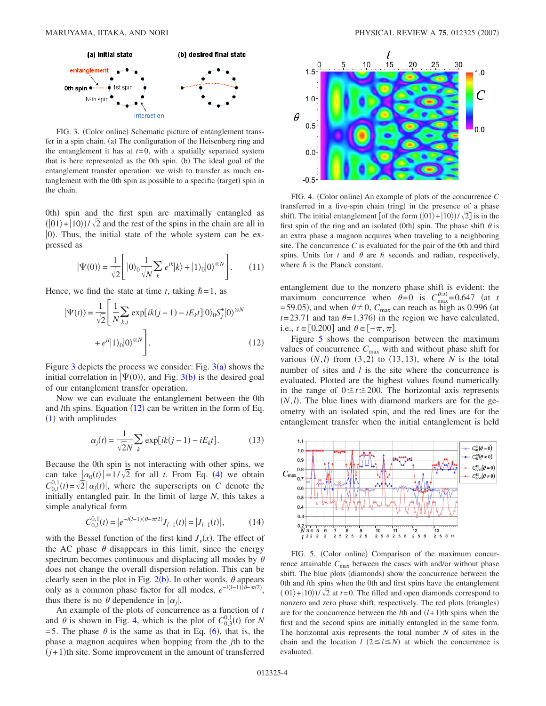<span id="page-3-0"></span>

FIG. 3. (Color online) Schematic picture of entanglement transfer in a spin chain. (a) The configuration of the Heisenberg ring and the entanglement it has at  $t=0$ , with a spatially separated system that is here represented as the 0th spin. (b) The ideal goal of the entanglement transfer operation: we wish to transfer as much entanglement with the 0th spin as possible to a specific (target) spin in the chain.

0th) spin and the first spin are maximally entangled as  $(|01\rangle + |10\rangle)/\sqrt{2}$  and the rest of the spins in the chain are all in  $|0\rangle$ . Thus, the initial state of the whole system can be expressed as

$$
|\Psi(0)\rangle = \frac{1}{\sqrt{2}} \left[ |0\rangle_0 \frac{1}{\sqrt{N}} \sum_k e^{ik} |k\rangle + |1\rangle_0 |0\rangle^{\otimes N} \right]. \tag{11}
$$

<span id="page-3-1"></span>Hence, we find the state at time *t*, taking  $\hbar = 1$ , as

$$
|\Psi(t)\rangle = \frac{1}{\sqrt{2}} \left[ \frac{1}{N} \sum_{k,j} \exp[ik(j-1) - iE_k t]|0\rangle_0 S_j^+ |0\rangle^{\otimes N} + e^{it}|1\rangle_0 |0\rangle^{\otimes N} \right].
$$
 (12)

Figure [3](#page-3-0) depicts the process we consider: Fig.  $3(a)$  shows the initial correlation in  $|\Psi(0)\rangle$ , and Fig. [3](#page-3-0)(b) is the desired goal of our entanglement transfer operation.

Now we can evaluate the entanglement between the 0th and *l*th spins. Equation ([12](#page-3-1)) can be written in the form of Eq. ([1](#page-1-2)) with amplitudes

$$
\alpha_j(t) = \frac{1}{\sqrt{2N}} \sum_k \exp[i(k(j-1) - iE_k t]. \tag{13}
$$

Because the 0th spin is not interacting with other spins, we can take  $\left| \alpha_0(t) \right| = 1/\sqrt{2}$  for all *t*. From Eq. ([4](#page-1-0)) we obtain  $C_{0,l}^{0,1}(t) = \sqrt{2} |\alpha_l(t)|$ , where the superscripts on *C* denote the initially entangled pair. In the limit of large *N*, this takes a simple analytical form

$$
C_{0,l}^{0,1}(t) = |e^{-i(l-1)(\theta - \pi/2)} J_{l-1}(t)| = |J_{l-1}(t)|,
$$
\n(14)

<span id="page-3-4"></span>with the Bessel function of the first kind  $J_{\nu}(x)$ . The effect of the AC phase  $\theta$  disappears in this limit, since the energy spectrum becomes continuous and displacing all modes by  $\theta$ does not change the overall dispersion relation. This can be clearly seen in the plot in Fig.  $2(b)$  $2(b)$ . In other words,  $\theta$  appears only as a common phase factor for all modes,  $e^{-i(l-1)\hat{t}-\pi/2}$ , thus there is no  $\theta$  dependence in  $|\alpha_j|$ .

An example of the plots of concurrence as a function of *t* and  $\theta$  is shown in Fig. [4,](#page-3-2) which is the plot of  $C_{0,3}^{0,1}(t)$  for *N* = 5. The phase  $\theta$  is the same as that in Eq. ([6](#page-2-3)), that is, the phase a magnon acquires when hopping from the *j*th to the  $(j+1)$ th site. Some improvement in the amount of transferred

<span id="page-3-2"></span>

FIG. 4. (Color online) An example of plots of the concurrence C transferred in a five-spin chain (ring) in the presence of a phase shift. The initial entanglement [of the form  $(|01\rangle + |10\rangle)/\sqrt{2}$ ] is in the first spin of the ring and an isolated (0th) spin. The phase shift  $\theta$  is an extra phase a magnon acquires when traveling to a neighboring site. The concurrence *C* is evaluated for the pair of the 0th and third spins. Units for  $t$  and  $\theta$  are  $\hbar$  seconds and radian, respectively, where  $\hbar$  is the Planck constant.

entanglement due to the nonzero phase shift is evident: the maximum concurrence when  $\theta = 0$  is  $C_{\text{max}}^{\theta=0} = 0.647$  (at *t* = 59.05), and when  $\theta \neq 0$ ,  $C_{\text{max}}$  can reach as high as 0.996 (at  $t = 23.71$  and tan  $\theta = 1.376$ ) in the region we have calculated, i.e.,  $t \in [0,200]$  and  $\theta \in [-\pi,\pi]$ .

Figure [5](#page-3-3) shows the comparison between the maximum values of concurrence  $C_{\text{max}}$  with and without phase shift for various  $(N, l)$  from  $(3, 2)$  to  $(13, 13)$ , where *N* is the total number of sites and *l* is the site where the concurrence is evaluated. Plotted are the highest values found numerically in the range of  $0 \le t \le 200$ . The horizontal axis represents  $(N, l)$ . The blue lines with diamond markers are for the geometry with an isolated spin, and the red lines are for the entanglement transfer when the initial entanglement is held

<span id="page-3-3"></span>

FIG. 5. (Color online) Comparison of the maximum concurrence attainable  $C_{\text{max}}$  between the cases with and/or without phase shift. The blue plots (diamonds) show the concurrence between the 0th and *l*th spins when the 0th and first spins have the entanglement  $(|01\rangle + |10\rangle)/\sqrt{2}$  at *t*=0. The filled and open diamonds correspond to nonzero and zero phase shift, respectively. The red plots (triangles) are for the concurrence between the *l*th and  $(l+1)$ th spins when the first and the second spins are initially entangled in the same form. The horizontal axis represents the total number *N* of sites in the chain and the location  $l$  ( $2 \le l \le N$ ) at which the concurrence is evaluated.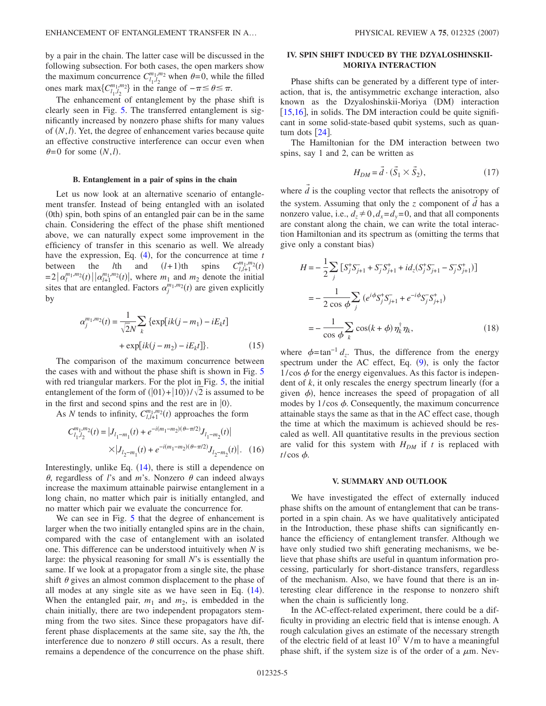by a pair in the chain. The latter case will be discussed in the following subsection. For both cases, the open markers show the maximum concurrence  $C_{l_1, l_2}^{m_1, m_2}$  when  $\theta = 0$ , while the filled ones mark max $\{C_{l_1,l_2}^{m_1,m_2}\}$  in the range of  $-\pi \leq \theta \leq \pi$ .

The enhancement of entanglement by the phase shift is clearly seen in Fig. [5.](#page-3-3) The transferred entanglement is significantly increased by nonzero phase shifts for many values of  $(N, l)$ . Yet, the degree of enhancement varies because quite an effective constructive interference can occur even when  $\theta = 0$  for some  $(N, l)$ .

#### **B. Entanglement in a pair of spins in the chain**

Let us now look at an alternative scenario of entanglement transfer. Instead of being entangled with an isolated (0th) spin, both spins of an entangled pair can be in the same chain. Considering the effect of the phase shift mentioned above, we can naturally expect some improvement in the efficiency of transfer in this scenario as well. We already have the expression, Eq.  $(4)$  $(4)$  $(4)$ , for the concurrence at time *t* between the *l*th and  $(l+1)$ th spins  $C_{l,l+1}^{m_1,n}$  $^{m_1,m_2}_{l,l+1}(t)$  $= 2 |\alpha_l^{m_1, m_2}(t)| |\alpha_{l+1}^{m_1, m_2}(t)|$ , where  $m_1$  and  $m_2$  denote the initial sites that are entangled. Factors  $\alpha_j^{m_1,m_2}(t)$  are given explicitly by

$$
\alpha_j^{m_1, m_2}(t) = \frac{1}{\sqrt{2}N} \sum_{k} \{ \exp[ik(j - m_1) - iE_k t] + \exp[ik(j - m_2) - iE_k t] \}.
$$
 (15)

The comparison of the maximum concurrence between the cases with and without the phase shift is shown in Fig. [5](#page-3-3) with red triangular markers. For the plot in Fig. [5,](#page-3-3) the initial entanglement of the form of  $(|01\rangle + |10\rangle)/\sqrt{2}$  is assumed to be in the first and second spins and the rest are in  $|0\rangle$ .

As *N* tends to infinity,  $C_{l,l+1}^{m_1,m_2}(t)$  approaches the form

$$
C_{l_1,l_2}^{m_1,m_2}(t) = |J_{l_1-m_1}(t) + e^{-i(m_1-m_2)(\theta - \pi/2)}J_{l_1-m_2}(t)|
$$
  
 
$$
\times |J_{l_2-m_1}(t) + e^{-i(m_1-m_2)(\theta - \pi/2)}J_{l_2-m_2}(t)|. \quad (16)
$$

Interestingly, unlike Eq.  $(14)$  $(14)$  $(14)$ , there is still a dependence on  $\theta$ , regardless of *l*'s and *m*'s. Nonzero  $\theta$  can indeed always increase the maximum attainable pairwise entanglement in a long chain, no matter which pair is initially entangled, and no matter which pair we evaluate the concurrence for.

We can see in Fig. [5](#page-3-3) that the degree of enhancement is larger when the two initially entangled spins are in the chain, compared with the case of entanglement with an isolated one. This difference can be understood intuitively when *N* is large: the physical reasoning for small *N*'s is essentially the same. If we look at a propagator from a single site, the phase shift  $\theta$  gives an almost common displacement to the phase of all modes at any single site as we have seen in Eq.  $(14)$  $(14)$  $(14)$ . When the entangled pair,  $m_1$  and  $m_2$ , is embedded in the chain initially, there are two independent propagators stemming from the two sites. Since these propagators have different phase displacements at the same site, say the *l*th, the interference due to nonzero  $\theta$  still occurs. As a result, there remains a dependence of the concurrence on the phase shift.

## **IV. SPIN SHIFT INDUCED BY THE DZYALOSHINSKII-MORIYA INTERACTION**

Phase shifts can be generated by a different type of interaction, that is, the antisymmetric exchange interaction, also known as the Dzyaloshinskii-Moriya (DM) interaction  $[15,16]$  $[15,16]$  $[15,16]$  $[15,16]$ , in solids. The DM interaction could be quite significant in some solid-state-based qubit systems, such as quantum dots  $\lfloor 24 \rfloor$  $\lfloor 24 \rfloor$  $\lfloor 24 \rfloor$ .

The Hamiltonian for the DM interaction between two spins, say 1 and 2, can be written as

$$
H_{DM} = \vec{d} \cdot (\vec{S}_1 \times \vec{S}_2),\tag{17}
$$

where  $\vec{d}$  is the coupling vector that reflects the anisotropy of the system. Assuming that only the *z* component of *d* has a nonzero value, i.e.,  $d_z \neq 0$ ,  $d_x = d_y = 0$ , and that all components are constant along the chain, we can write the total interaction Hamiltonian and its spectrum as (omitting the terms that give only a constant bias)

$$
H = -\frac{1}{2} \sum_{j} \left[ S_{j}^{+} S_{j+1}^{-} + S_{j}^{-} S_{j+1}^{+} + id_{z} (S_{j}^{+} S_{j+1}^{-} - S_{j}^{-} S_{j+1}^{+}) \right]
$$
  

$$
= -\frac{1}{2 \cos \phi} \sum_{j} \left( e^{i\phi} S_{j}^{+} S_{j+1}^{-} + e^{-i\phi} S_{j}^{-} S_{j+1}^{+} \right)
$$
  

$$
= -\frac{1}{\cos \phi} \sum_{k} \cos(k + \phi) \eta_{k}^{\dagger} \eta_{k}, \qquad (18)
$$

where  $\phi = \tan^{-1} d_z$ . Thus, the difference from the energy spectrum under the AC effect, Eq.  $(9)$  $(9)$  $(9)$ , is only the factor  $1/cos \phi$  for the energy eigenvalues. As this factor is independent of *k*, it only rescales the energy spectrum linearly (for a given  $\phi$ ), hence increases the speed of propagation of all modes by  $1/\cos \phi$ . Consequently, the maximum concurrence attainable stays the same as that in the AC effect case, though the time at which the maximum is achieved should be rescaled as well. All quantitative results in the previous section are valid for this system with  $H_{DM}$  if t is replaced with  $t/\cos \phi$ .

## **V. SUMMARY AND OUTLOOK**

We have investigated the effect of externally induced phase shifts on the amount of entanglement that can be transported in a spin chain. As we have qualitatively anticipated in the Introduction, these phase shifts can significantly enhance the efficiency of entanglement transfer. Although we have only studied two shift generating mechanisms, we believe that phase shifts are useful in quantum information processing, particularly for short-distance transfers, regardless of the mechanism. Also, we have found that there is an interesting clear difference in the response to nonzero shift when the chain is sufficiently long.

In the AC-effect-related experiment, there could be a difficulty in providing an electric field that is intense enough. A rough calculation gives an estimate of the necessary strength of the electric field of at least  $10^7$  V/m to have a meaningful phase shift, if the system size is of the order of a  $\mu$ m. Nev